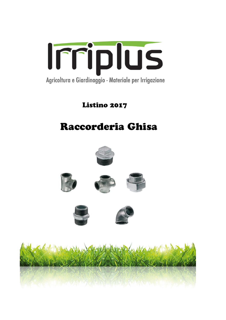

Listino 2017

# Raccorderia Ghisa











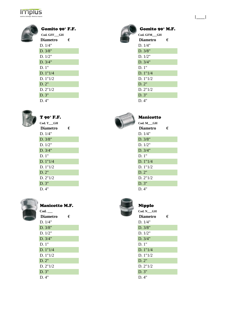## **Irriplus**



| Gomito 90° F.F.        |   | Gomito 90° M    |   |
|------------------------|---|-----------------|---|
| Cod. GFF <sub>CH</sub> |   | Cod. GFM GH     |   |
| <b>Diametro</b>        | € | <b>Diametro</b> | € |
| D. 1/4"                |   | D. 1/4"         |   |
| D. 3/8"                |   | D. 3/8"         |   |
| D. 1/2"                |   | D. 1/2"         |   |
| D. 3/4"                |   | D. 3/4"         |   |
| D.1"                   |   | D.1"            |   |
| D. 1"1/4               |   | D. 1"1/4        |   |
| D. 1"1/2               |   | D. 1"1/2        |   |
| D.2"                   |   | D.2"            |   |
| D. 2"1/2               |   | D. 2"1/2        |   |
| D. 3"                  |   | D. 3"           |   |
| D. 4"                  |   | D.4"            |   |



| $Cod. T_GH$     |   | $Cod. M$ $GH$   |   |
|-----------------|---|-----------------|---|
| <b>Diametro</b> | € | <b>Diametro</b> | € |
| D. 1/4"         |   | D. 1/4"         |   |
| D. 3/8"         |   | D. 3/8"         |   |
| D. 1/2"         |   | D. 1/2"         |   |
| D. 3/4"         |   | D. 3/4"         |   |
| D.1"            |   | D. 1"           |   |
| D. 1"1/4        |   | D. 1"1/4        |   |
| D. 1"1/2        |   | D. 1"1/2        |   |
| D. 2"           |   | D. 2"           |   |
| D. 2"1/2        |   | D. 2"1/2        |   |
| D. 3"           |   | D. 3"           |   |
| D. 4"           |   | D. 4"           |   |



### Manicotto M.F. Nipplo

| Cod.            |   | Cod. NGH        |   |
|-----------------|---|-----------------|---|
| <b>Diametro</b> | € | <b>Diametro</b> | € |
| D. 1/4"         |   | D. 1/4"         |   |
| D. 3/8"         |   | D. 3/8"         |   |
| D. 1/2"         |   | D. 1/2"         |   |
| D. 3/4"         |   | D. 3/4"         |   |
| D. 1"           |   | D. 1"           |   |
| D. 1"1/4        |   | D. 1"1/4        |   |
| D. 1"1/2        |   | D. 1"1/2        |   |
| D. 2"           |   | D. 2"           |   |
| D. 2"1/2        |   | D. 2"1/2        |   |
| D. 3"           |   | D. 3"           |   |
| D. 4"           |   | D. 4"           |   |



### Gomito 90° M.F.

|\_\_\_\_|

| Cod. GFM GH     |   |
|-----------------|---|
| <b>Diametro</b> | € |
| D. 1/4"         |   |
| D. 3/8"         |   |
| D. 1/2"         |   |
| D. 3/4"         |   |
| D.1"            |   |
| D. 1"1/4        |   |
| D. 1"1/2        |   |
| $D$ 2"          |   |
| D. 2"1/2        |   |
| D.3"            |   |
| <b>N</b> 4 11   |   |



| Cod. M GH       |   |
|-----------------|---|
| <b>Diametro</b> | € |
| D. 1/4"         |   |
| D. 3/8"         |   |
| D. 1/2"         |   |
| D. 3/4"         |   |
| D 1"            |   |
| D. 1"1/4        |   |
| D. 1"1/2        |   |
| $D$ 2"          |   |
| D. 2"1/2        |   |
| D.3"            |   |
| D.4"            |   |



| Cod. N GH       |   |
|-----------------|---|
| <b>Diametro</b> | € |
| D. 1/4"         |   |
| D. 3/8"         |   |
| D. 1/2"         |   |
| D. 3/4"         |   |
| D.1"            |   |
| D. 1"1/4        |   |
| D. 1"1/2        |   |
| $D$ 2"          |   |
| D. 2"1/2        |   |
| D.3"            |   |
| D 4"            |   |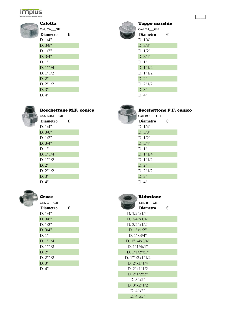## **Irriplus**



| Valvtta         |   | ⊥aµ    |
|-----------------|---|--------|
| Cod. CA_GH      |   | Cod. T |
| <b>Diametro</b> | € | Dian   |
| D. 1/4"         |   | D.1/   |
| D. 3/8"         |   | D.3/   |
| D. 1/2"         |   | D.1/   |
| D. 3/4"         |   | D. 3/  |
| D.1"            |   | D. 1"  |
| D. 1"1/4        |   | D. 1"  |
| D. 1"1/2        |   | D. 1"  |
| D. 2"           |   | D.2"   |
| D. 2"1/2        |   | D. 2"  |
| D. 3"           |   | D. 3"  |
| D. 4"           |   | D. 4"  |



### Bocchettone M.F. conico Bocchettone F.F. conico

| Cod. BOM GH     |   | Cod. BOF_GH     |   |
|-----------------|---|-----------------|---|
| <b>Diametro</b> | € | <b>Diametro</b> | € |
| D. 1/4"         |   | D. 1/4"         |   |
| D. 3/8"         |   | D. 3/8"         |   |
| D. 1/2"         |   | D. 1/2"         |   |
| D. 3/4"         |   | D. 3/4"         |   |
| D.1"            |   | D.1"            |   |
| D. 1"1/4        |   | D. 1"1/4        |   |
| D. $1"1/2$      |   | D. 1"1/2        |   |
| D.2"            |   | D.2"            |   |
| D. 2"1/2        |   | D. 2"1/2        |   |
| D. 3"           |   | D. 3"           |   |
| D. 4"           |   | D. 4"           |   |



| Croce           |   |
|-----------------|---|
| Cod. C GH       |   |
| <b>Diametro</b> | € |
| D.1/4"          |   |
| D. 3/8"         |   |
| D. 1/2"         |   |
| D. 3/4"         |   |
| D.1"            |   |
| D. 1"1/4        |   |
| D. 1"1/2        |   |
| D.2"            |   |
| D. 2"1/2        |   |
| D.3"            |   |
| D.4"            |   |

### Calotta Tappo maschio **Cod. CA\_\_\_GH Cod. TA\_\_\_GH Diametro**  $\epsilon$ D.  $1/4"$ D.  $3/8"$  $D. 1/2"$  $D. 3/4"$ D.  $1"1/4$  $D. 1"1/2$

|\_\_\_\_|

D.  $2"1/2$ <br>D.  $3"$ 



| Cod. BOF GH     |   |
|-----------------|---|
| <b>Diametro</b> | € |
| D. $1/4"$       |   |
| D. 3/8"         |   |
| D. 1/2"         |   |
| D. 3/4"         |   |
| D.1"            |   |
| D. 1"1/4        |   |
| D. 1"1/2        |   |
| D.2"            |   |
| D. 2"1/2        |   |
| D.3"            |   |
| $D_4"$          |   |

| <b>Croce</b>                              |   | Riduzione                |   |
|-------------------------------------------|---|--------------------------|---|
| $\mathrm{Cod.}\ \mathrm{C}$ $\mathrm{GH}$ |   | $Cod. R$ <sub>__GH</sub> |   |
| <b>Diametro</b>                           | € | <b>Diametro</b>          | € |
| D. 1/4"                                   |   | D. 1/2"x1/4"             |   |
| D. 3/8"                                   |   | D. $3/4$ " $x1/4$ "      |   |
| D. 1/2"                                   |   | D. $3/4$ " $x1/2$ "      |   |
| D. 3/4"                                   |   | D. 1"x1/2"               |   |
| D. 1"                                     |   | D. $1"x3/4"$             |   |
| D. 1"1/4                                  |   | D. $1"1/4x3/4"$          |   |
| D. 1"1/2                                  |   | D. $1"1/4x1"$            |   |
| D. 2"                                     |   | D. 1"1/2"x1"             |   |
| D. 2"1/2                                  |   | D. $1''1/2x1''1/4$       |   |
| D. 3"                                     |   | D. $2"x1"1/4$            |   |
| D. 4"                                     |   | D. 2"x1"1/2              |   |
|                                           |   | D. 2"1/2x2"              |   |
|                                           |   | D. 3"x2"                 |   |
|                                           |   | D. 3"x2"1/2              |   |
|                                           |   | D. 4"x2"                 |   |
|                                           |   | D. 4"x3"                 |   |